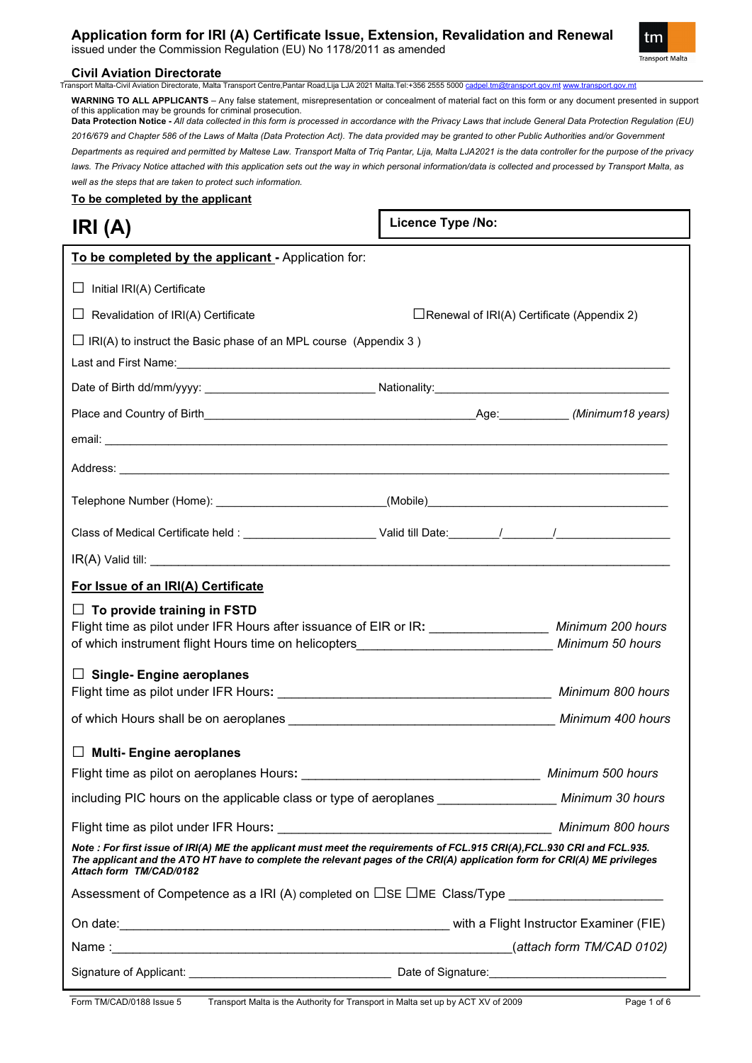## **Application form for IRI (A) Certificate Issue, Extension, Revalidation and Renewal**

issued under the Commission Regulation (EU) No 1178/2011 as amended



## **Civil Aviation Directorate**<br> **Transport Malta-Civil Aviation Directorate. Malta**

.<br>∍, Malta Transport Centre,Pantar Road,Lija LJA 2021 Malta.Tel:+356 2555 5000 <u>[cadpel.tm@transport.gov.mt](mailto:cadpel.tm@transport.gov.mt) [www.transport.gov.mt](http://www.transport.gov.mt/)</u> **WARNING TO ALL APPLICANTS** – Any false statement, misrepresentation or concealment of material fact on this form or any document presented in support of this application may be grounds for criminal prosecution.

**Data Protection Notice -** *All data collected in this form is processed in accordance with the Privacy Laws that include General Data Protection Regulation (EU) 2016/679 and Chapter 586 of the Laws of Malta (Data Protection Act). The data provided may be granted to other Public Authorities and/or Government Departments as required and permitted by Maltese Law. Transport Malta of Triq Pantar, Lija, Malta LJA2021 is the data controller for the purpose of the privacy*  laws. The Privacy Notice attached with this application sets out the way in which personal information/data is collected and processed by Transport Malta, as *well as the steps that are taken to protect such information.*

**Licence Type /No:** 

**To be completed by the applicant**

**IRI (A)**

| $\Box$ IRI(A) to instruct the Basic phase of an MPL course (Appendix 3) | $\Box$ Renewal of IRI(A) Certificate (Appendix 2)<br>Flight time as pilot under IFR Hours after issuance of EIR or IR: _________________ Minimum 200 hours<br>Flight time as pilot under IFR Hours: National Communication of the Minimum 800 hours<br>Note : For first issue of IRI(A) ME the applicant must meet the requirements of FCL.915 CRI(A), FCL.930 CRI and FCL.935.<br>The applicant and the ATO HT have to complete the relevant pages of the CRI(A) application form for CRI(A) ME privileges<br>Assessment of Competence as a IRI (A) completed on $\Box$ SE $\Box$ ME_Class/Type |
|-------------------------------------------------------------------------|--------------------------------------------------------------------------------------------------------------------------------------------------------------------------------------------------------------------------------------------------------------------------------------------------------------------------------------------------------------------------------------------------------------------------------------------------------------------------------------------------------------------------------------------------------------------------------------------------|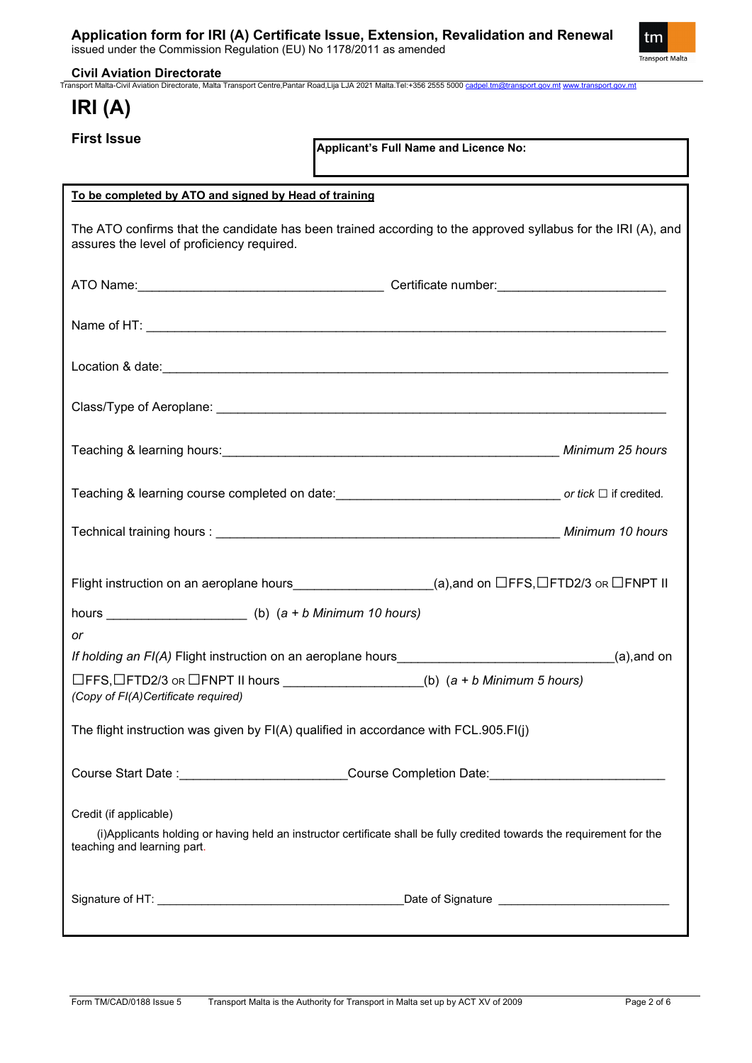issued under the Commission Regulation (EU) No 1178/2011 as amended



**Civil Aviation Directorate** Transport Malta-Civil Aviation Directorate, Malta Transport Centre,Pantar Road,Lija LJA 2021 Malta.Tel:+356 2555 5000 [cadpel.tm@transport.gov.mt](mailto:cadpel.tm@transport.gov.mt) [www.transport.gov.mt](http://www.transport.gov.mt/)

# **IRI (A)**

**First Issue**

**Applicant's Full Name and Licence No:**

| To be completed by ATO and signed by Head of training                                                                                                                            |  |
|----------------------------------------------------------------------------------------------------------------------------------------------------------------------------------|--|
| The ATO confirms that the candidate has been trained according to the approved syllabus for the IRI (A), and<br>assures the level of proficiency required.                       |  |
|                                                                                                                                                                                  |  |
|                                                                                                                                                                                  |  |
|                                                                                                                                                                                  |  |
|                                                                                                                                                                                  |  |
|                                                                                                                                                                                  |  |
| Teaching & learning course completed on date: or tick □ if credited.                                                                                                             |  |
|                                                                                                                                                                                  |  |
| Flight instruction on an aeroplane hours____________________(a),and on $\Box$ FFS, $\Box$ FTD2/3 or $\Box$ FNPT II                                                               |  |
|                                                                                                                                                                                  |  |
| or                                                                                                                                                                               |  |
| If holding an FI(A) Flight instruction on an aeroplane hours_______________________________(a),and on                                                                            |  |
| $\Box$ FFS, $\Box$ FTD2/3 or $\Box$ FNPT II hours __________________(b) (a + b Minimum 5 hours)<br>(Copy of FI(A)Certificate required)                                           |  |
| The flight instruction was given by FI(A) qualified in accordance with FCL.905.FI(j)                                                                                             |  |
| Course Start Date : Course Completion Date: Course Completion Date:                                                                                                              |  |
| Credit (if applicable)<br>(i) Applicants holding or having held an instructor certificate shall be fully credited towards the requirement for the<br>teaching and learning part. |  |
|                                                                                                                                                                                  |  |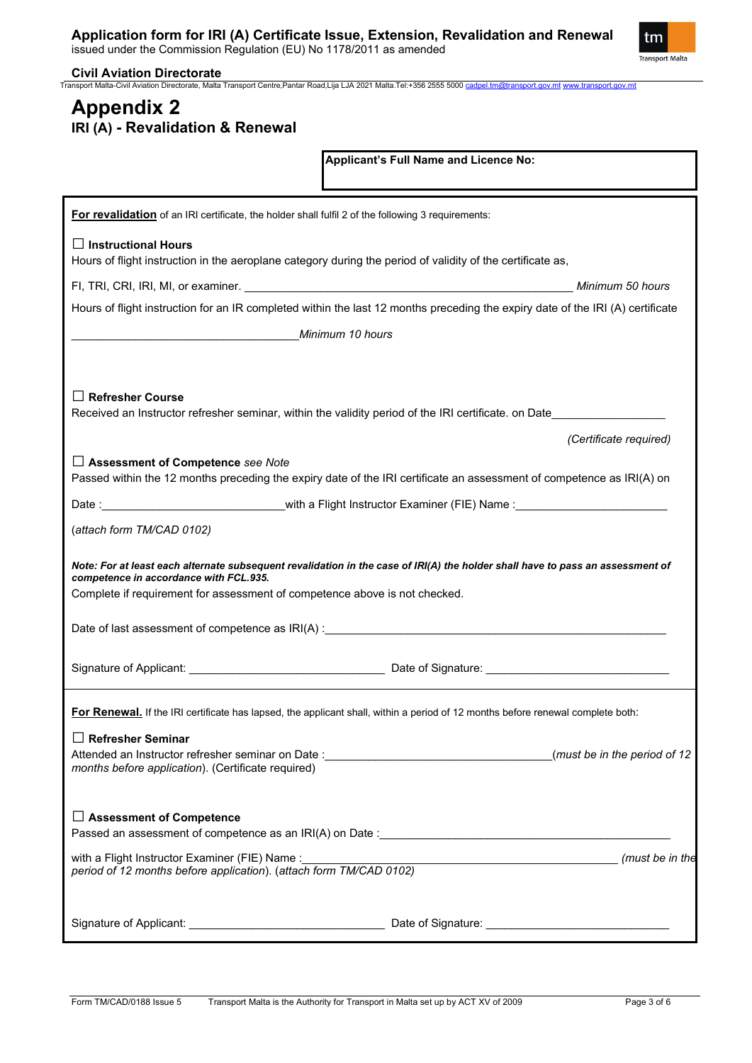issued under the Commission Regulation (EU) No 1178/2011 as amended



**Civil Aviation Directorate** Transport Malta-Civil Aviation Directorate, Malta Transport Centre,Pantar Road,Lija LJA 2021 Malta.Tel:+356 2555 5000 [cadpel.tm@transport.gov.mt](mailto:cadpel.tm@transport.gov.mt) [www.transport.gov.mt](http://www.transport.gov.mt/)

## **Appendix 2 IRI (A) - Revalidation & Renewal**

| Applicant's Full Name and Licence No:                                                                                                                                                                                                                  |
|--------------------------------------------------------------------------------------------------------------------------------------------------------------------------------------------------------------------------------------------------------|
| For revalidation of an IRI certificate, the holder shall fulfil 2 of the following 3 requirements:                                                                                                                                                     |
| $\Box$ Instructional Hours<br>Hours of flight instruction in the aeroplane category during the period of validity of the certificate as,                                                                                                               |
| Minimum 50 hours                                                                                                                                                                                                                                       |
| Hours of flight instruction for an IR completed within the last 12 months preceding the expiry date of the IRI (A) certificate                                                                                                                         |
| Minimum 10 hours                                                                                                                                                                                                                                       |
| <b>Refresher Course</b><br>Received an Instructor refresher seminar, within the validity period of the IRI certificate. on Date<br>(Certificate required)                                                                                              |
| $\Box$ Assessment of Competence see Note<br>Passed within the 12 months preceding the expiry date of the IRI certificate an assessment of competence as IRI(A) on                                                                                      |
|                                                                                                                                                                                                                                                        |
| (attach form TM/CAD 0102)                                                                                                                                                                                                                              |
| Note: For at least each alternate subsequent revalidation in the case of IRI(A) the holder shall have to pass an assessment of<br>competence in accordance with FCL.935.<br>Complete if requirement for assessment of competence above is not checked. |
|                                                                                                                                                                                                                                                        |
| For Renewal. If the IRI certificate has lapsed, the applicant shall, within a period of 12 months before renewal complete both:                                                                                                                        |
| $\Box$ Refresher Seminar<br>months before application). (Certificate required)                                                                                                                                                                         |
| □ Assessment of Competence<br>Passed an assessment of competence as an IRI(A) on Date :                                                                                                                                                                |
| with a Flight Instructor Examiner (FIE) Name :<br>period of 12 months before application). (attach form TM/CAD 0102)                                                                                                                                   |
|                                                                                                                                                                                                                                                        |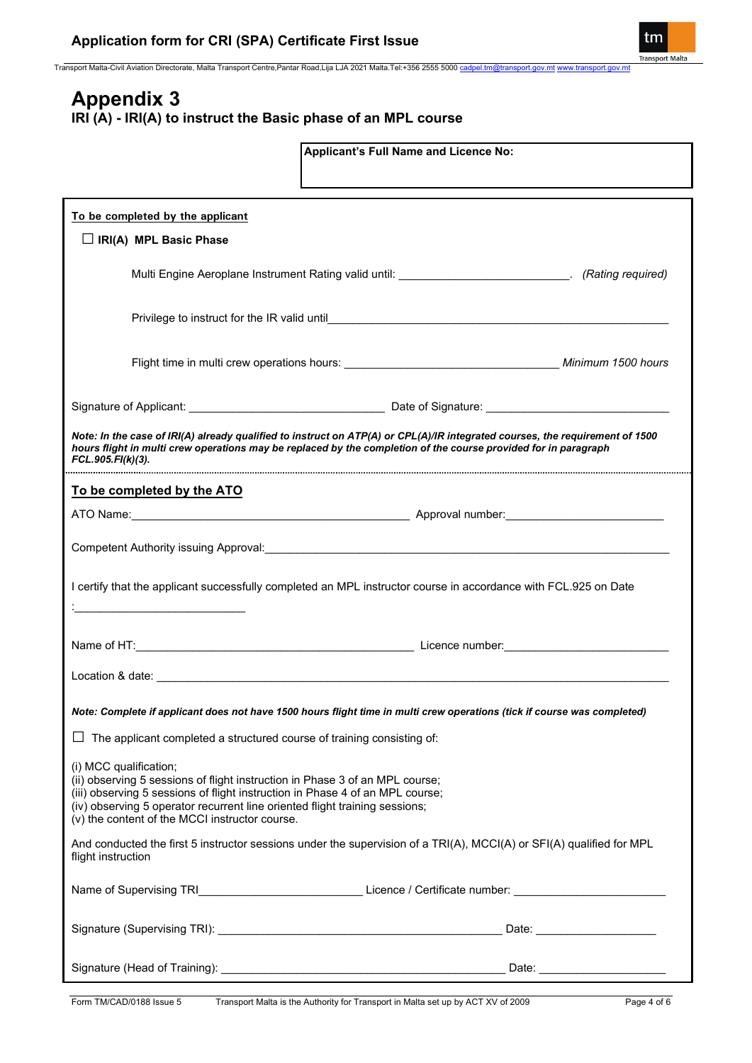Transport Malta-Civil Aviation Directorate, Malta Transport Centre,Pantar Road,Lija LJA 2021 Malta.Tel:+356 2555 5000 [cadpel.tm@transport.gov.mt](mailto:cadpel.tm@transport.gov.mt) [www.transport.gov.mt](http://www.transport.gov.mt/)

## **Appendix 3 IRI (A) - IRI(A) to instruct the Basic phase of an MPL course**

| Applicant's Full Name and Licence No:                                                                                                                        |                                                                                                                              |  |  |
|--------------------------------------------------------------------------------------------------------------------------------------------------------------|------------------------------------------------------------------------------------------------------------------------------|--|--|
|                                                                                                                                                              |                                                                                                                              |  |  |
|                                                                                                                                                              |                                                                                                                              |  |  |
| To be completed by the applicant                                                                                                                             |                                                                                                                              |  |  |
| $\Box$ IRI(A) MPL Basic Phase                                                                                                                                |                                                                                                                              |  |  |
|                                                                                                                                                              |                                                                                                                              |  |  |
|                                                                                                                                                              | Multi Engine Aeroplane Instrument Rating valid until: ____________________________. (Rating required)                        |  |  |
|                                                                                                                                                              |                                                                                                                              |  |  |
|                                                                                                                                                              |                                                                                                                              |  |  |
|                                                                                                                                                              |                                                                                                                              |  |  |
|                                                                                                                                                              |                                                                                                                              |  |  |
|                                                                                                                                                              |                                                                                                                              |  |  |
|                                                                                                                                                              |                                                                                                                              |  |  |
|                                                                                                                                                              |                                                                                                                              |  |  |
| hours flight in multi crew operations may be replaced by the completion of the course provided for in paragraph                                              | Note: In the case of IRI(A) already qualified to instruct on ATP(A) or CPL(A)/IR integrated courses, the requirement of 1500 |  |  |
| FCL.905.FI(k)(3).                                                                                                                                            |                                                                                                                              |  |  |
| To be completed by the ATO                                                                                                                                   |                                                                                                                              |  |  |
|                                                                                                                                                              |                                                                                                                              |  |  |
|                                                                                                                                                              |                                                                                                                              |  |  |
|                                                                                                                                                              |                                                                                                                              |  |  |
|                                                                                                                                                              |                                                                                                                              |  |  |
| I certify that the applicant successfully completed an MPL instructor course in accordance with FCL.925 on Date                                              |                                                                                                                              |  |  |
| <u> 1989 - Johann Barn, mars an t-Amerikaansk politiker (</u>                                                                                                |                                                                                                                              |  |  |
|                                                                                                                                                              |                                                                                                                              |  |  |
|                                                                                                                                                              |                                                                                                                              |  |  |
|                                                                                                                                                              |                                                                                                                              |  |  |
|                                                                                                                                                              |                                                                                                                              |  |  |
| Note: Complete if applicant does not have 1500 hours flight time in multi crew operations (tick if course was completed)                                     |                                                                                                                              |  |  |
| $\Box$ The applicant completed a structured course of training consisting of:                                                                                |                                                                                                                              |  |  |
| (i) MCC qualification;                                                                                                                                       |                                                                                                                              |  |  |
| (ii) observing 5 sessions of flight instruction in Phase 3 of an MPL course;                                                                                 |                                                                                                                              |  |  |
| (iii) observing 5 sessions of flight instruction in Phase 4 of an MPL course;<br>(iv) observing 5 operator recurrent line oriented flight training sessions; |                                                                                                                              |  |  |
| (v) the content of the MCCI instructor course.                                                                                                               |                                                                                                                              |  |  |
|                                                                                                                                                              | And conducted the first 5 instructor sessions under the supervision of a TRI(A), MCCI(A) or SFI(A) qualified for MPL         |  |  |
| flight instruction                                                                                                                                           |                                                                                                                              |  |  |
|                                                                                                                                                              |                                                                                                                              |  |  |
|                                                                                                                                                              |                                                                                                                              |  |  |
|                                                                                                                                                              |                                                                                                                              |  |  |
|                                                                                                                                                              |                                                                                                                              |  |  |
|                                                                                                                                                              |                                                                                                                              |  |  |

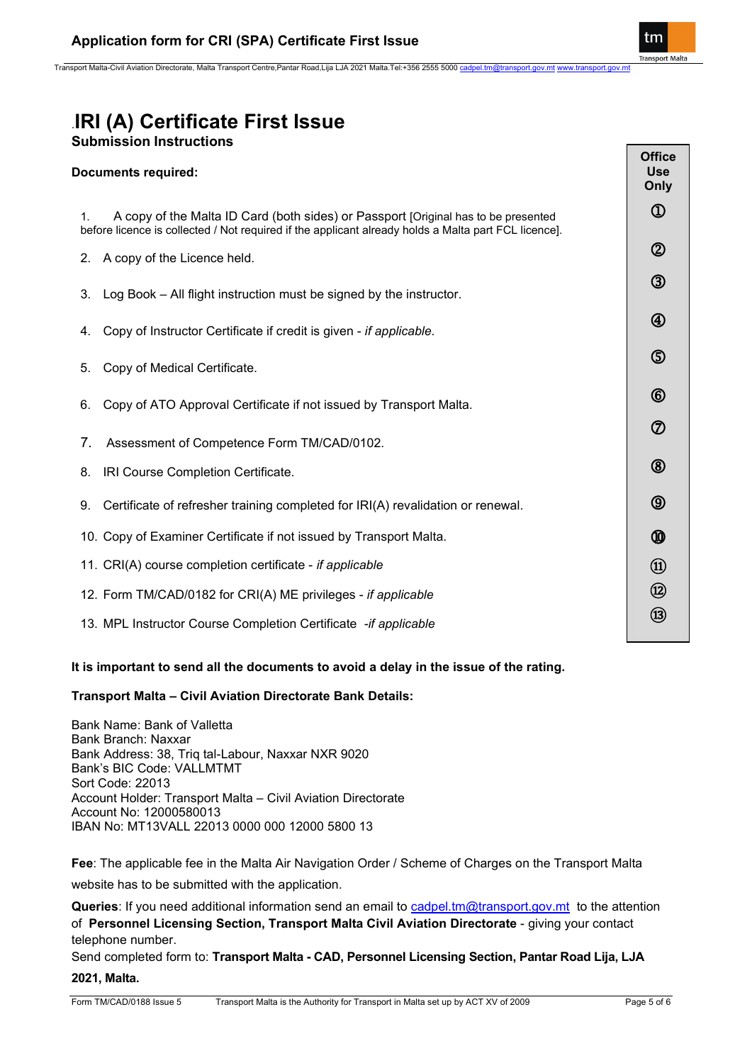Transport Malta-Civil Aviation Directorate, Malta Transport Centre,Pantar Road,Lija LJA 2021 Malta.Tel:+356 2555 5000 cadpel.tm@tran

# .**IRI (A) Certificate First Issue**

| <b>Documents required:</b> |  |
|----------------------------|--|
|                            |  |

| <b>Submission Instructions</b>                                                                                                                                                                   |                                     |
|--------------------------------------------------------------------------------------------------------------------------------------------------------------------------------------------------|-------------------------------------|
| <b>Documents required:</b>                                                                                                                                                                       | <b>Office</b><br><b>Use</b><br>Only |
| A copy of the Malta ID Card (both sides) or Passport [Original has to be presented<br>1.<br>before licence is collected / Not required if the applicant already holds a Malta part FCL licence]. | $^{\circledR}$                      |
| 2. A copy of the Licence held.                                                                                                                                                                   | $^{\circledR}$                      |
| Log Book - All flight instruction must be signed by the instructor.<br>3.                                                                                                                        | $\circledS$                         |
| Copy of Instructor Certificate if credit is given - if applicable.<br>4.                                                                                                                         | $^{\circledR}$                      |
| Copy of Medical Certificate.<br>5.                                                                                                                                                               | $\circledS$                         |
| Copy of ATO Approval Certificate if not issued by Transport Malta.<br>6.                                                                                                                         | $^{\circledR}$                      |
| 7 <sub>1</sub><br>Assessment of Competence Form TM/CAD/0102.                                                                                                                                     | ⑦                                   |
| IRI Course Completion Certificate.<br>8.                                                                                                                                                         | $^{\circledR}$                      |
| Certificate of refresher training completed for IRI(A) revalidation or renewal.<br>9.                                                                                                            | $\circledcirc$                      |
| 10. Copy of Examiner Certificate if not issued by Transport Malta.                                                                                                                               | ⑩                                   |
| 11. CRI(A) course completion certificate - if applicable                                                                                                                                         | $^{\circledR}$                      |
| 12. Form TM/CAD/0182 for CRI(A) ME privileges - if applicable                                                                                                                                    | $\circledR$                         |
| 13. MPL Instructor Course Completion Certificate -if applicable                                                                                                                                  | $\circled{3}$                       |
| It is important to send all the documents to avoid a delay in the issue of the rating.                                                                                                           |                                     |

### **Transport Malta – Civil Aviation Directorate Bank Details:**

Bank Name: Bank of Valletta Bank Branch: Naxxar Bank Address: 38, Triq tal-Labour, Naxxar NXR 9020 Bank's BIC Code: VALLMTMT Sort Code: 22013 Account Holder: Transport Malta – Civil Aviation Directorate Account No: 12000580013 IBAN No: MT13VALL 22013 0000 000 12000 5800 13

**Fee**: The applicable fee in the Malta Air Navigation Order / Scheme of Charges on the Transport Malta

website has to be submitted with the application.

**Queries**: If you need additional information send an email to [cadpel.tm@transport.gov.mt](mailto:cadpel.tm@transport.gov.mt) to the attention of **Personnel Licensing Section, Transport Malta Civil Aviation Directorate** - giving your contact telephone number.

Send completed form to: **Transport Malta - CAD, Personnel Licensing Section, Pantar Road Lija, LJA 2021, Malta.**